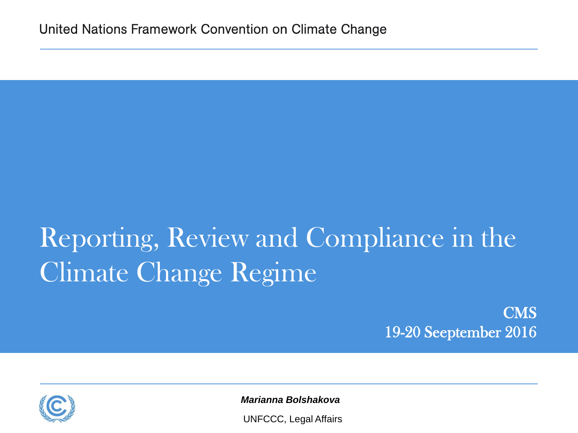# Reporting, Review and Compliance in the Climate Change Regime

CMS 19-20 Seeptember 2016



*Marianna Bolshakova*

UNFCCC, Legal Affairs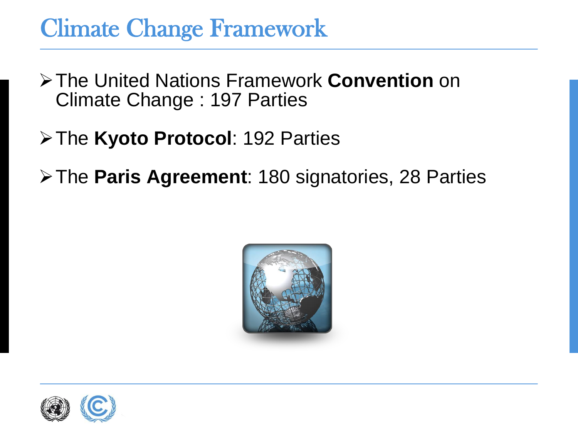### Climate Change Framework

- The United Nations Framework **Convention** on Climate Change : 197 Parties
- The **Kyoto Protocol**: 192 Parties
- The **Paris Agreement**: 180 signatories, 28 Parties



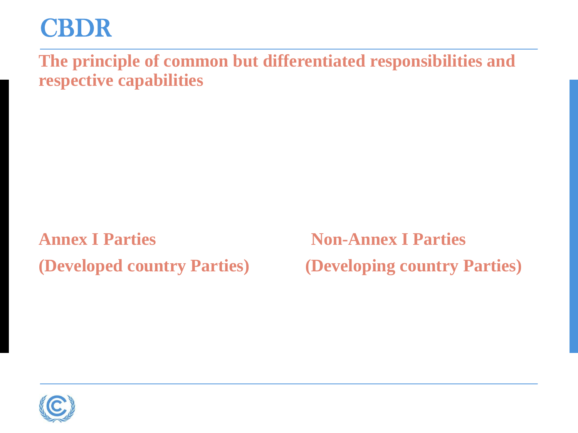## CBDR

**The principle of common but differentiated responsibilities and respective capabilities**

**Annex I Parties Non-Annex I Parties** 

**(Developed country Parties) (Developing country Parties)**

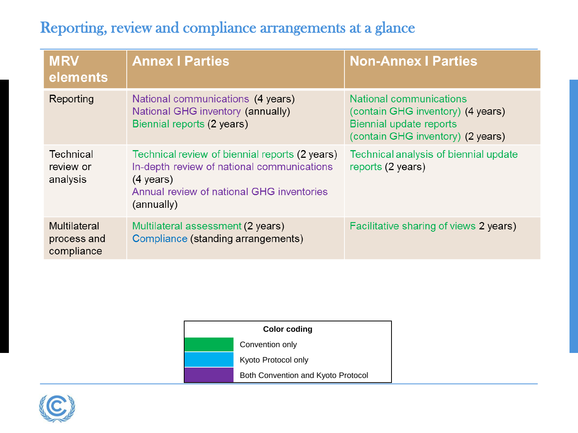#### Reporting, review and compliance arrangements at a glance

| <b>MRV</b><br>elements                    | <b>Annex I Parties</b>                                                                                                                                                         | <b>Non-Annex   Parties</b>                                                                                                          |
|-------------------------------------------|--------------------------------------------------------------------------------------------------------------------------------------------------------------------------------|-------------------------------------------------------------------------------------------------------------------------------------|
| Reporting                                 | National communications (4 years)<br>National GHG inventory (annually)<br>Biennial reports (2 years)                                                                           | National communications<br>(contain GHG inventory) (4 years)<br><b>Biennial update reports</b><br>(contain GHG inventory) (2 years) |
| Technical<br>review or<br>analysis        | Technical review of biennial reports (2 years)<br>In-depth review of national communications<br>$(4 \text{ years})$<br>Annual review of national GHG inventories<br>(annually) | Technical analysis of biennial update<br>reports (2 years)                                                                          |
| Multilateral<br>process and<br>compliance | Multilateral assessment (2 years)<br>Compliance (standing arrangements)                                                                                                        | Facilitative sharing of views 2 years)                                                                                              |

| <b>Color coding</b> |                                    |  |
|---------------------|------------------------------------|--|
|                     | Convention only                    |  |
|                     | Kyoto Protocol only                |  |
|                     | Both Convention and Kyoto Protocol |  |

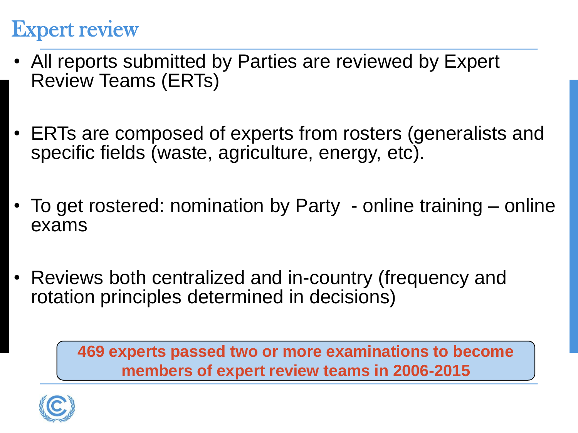#### Expert review

- All reports submitted by Parties are reviewed by Expert Review Teams (ERTs)
- ERTs are composed of experts from rosters (generalists and specific fields (waste, agriculture, energy, etc).
- To get rostered: nomination by Party online training online exams
- Reviews both centralized and in-country (frequency and rotation principles determined in decisions)

**469 experts passed two or more examinations to become members of expert review teams in 2006-2015** 

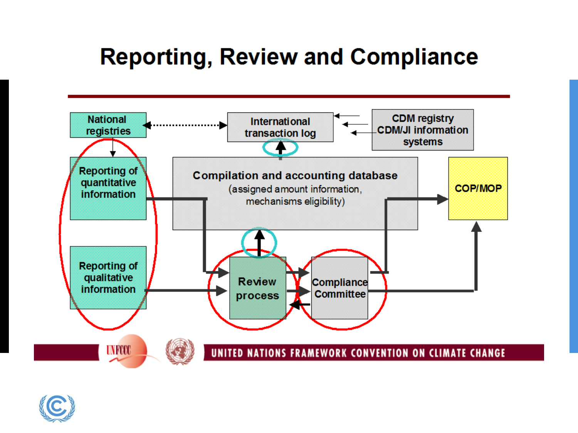## **Reporting, Review and Compliance**



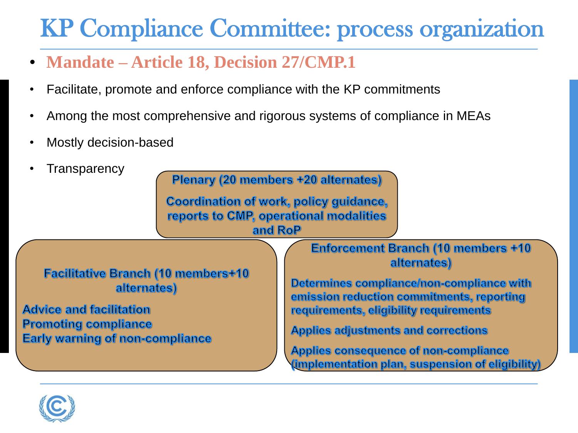## KP Compliance Committee: process organization

- **Mandate – Article 18, Decision 27/CMP.1**
- Facilitate, promote and enforce compliance with the KP commitments
- Among the most comprehensive and rigorous systems of compliance in MEAs
- Mostly decision-based



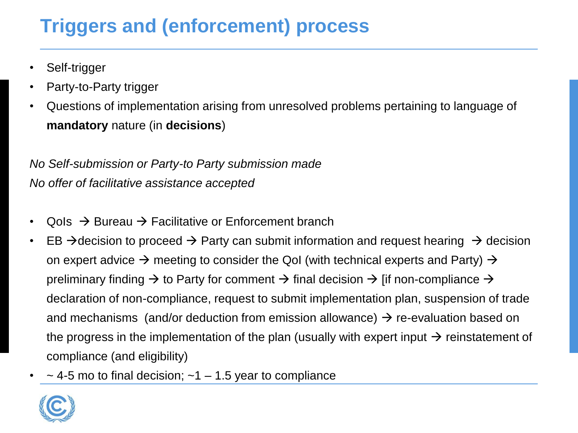#### **Triggers and (enforcement) process**

- Self-trigger
- Party-to-Party trigger
- Questions of implementation arising from unresolved problems pertaining to language of **mandatory** nature (in **decisions**)

*No Self-submission or Party-to Party submission made No offer of facilitative assistance accepted*

- $Q$ ols  $\rightarrow$  Bureau  $\rightarrow$  Facilitative or Enforcement branch
- EB  $\rightarrow$  decision to proceed  $\rightarrow$  Party can submit information and request hearing  $\rightarrow$  decision on expert advice  $\rightarrow$  meeting to consider the QoI (with technical experts and Party)  $\rightarrow$ preliminary finding  $\rightarrow$  to Party for comment  $\rightarrow$  final decision  $\rightarrow$  [if non-compliance  $\rightarrow$ declaration of non-compliance, request to submit implementation plan, suspension of trade and mechanisms (and/or deduction from emission allowance)  $\rightarrow$  re-evaluation based on the progress in the implementation of the plan (usually with expert input  $\rightarrow$  reinstatement of compliance (and eligibility)
- $\sim$  4-5 mo to final decision;  $\sim$ 1 1.5 year to compliance

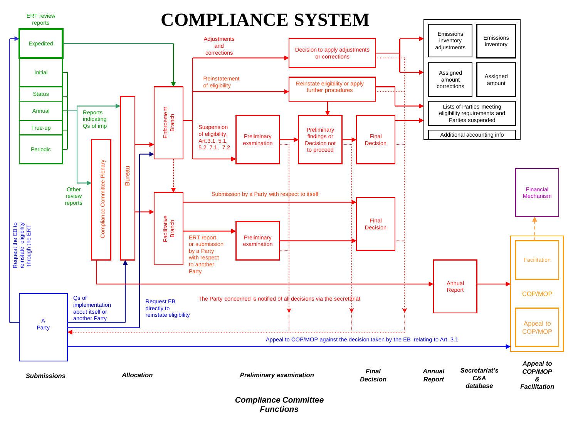

#### *Compliance Committee Functions*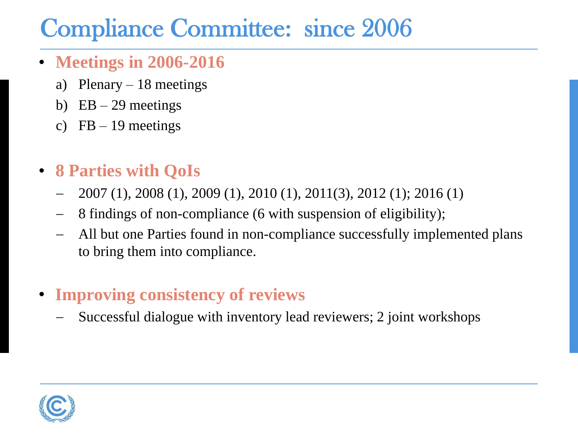## Compliance Committee: since 2006

- **Meetings in 2006-2016**
	- a) Plenary  $-18$  meetings
	- b)  $EB 29$  meetings
	- c)  $FB 19$  meetings
- **8 Parties with QoIs**
	- 2007 (1), 2008 (1), 2009 (1), 2010 (1), 2011(3), 2012 (1); 2016 (1)
	- 8 findings of non-compliance (6 with suspension of eligibility);
	- All but one Parties found in non-compliance successfully implemented plans to bring them into compliance.
- **Improving consistency of reviews**
	- Successful dialogue with inventory lead reviewers; 2 joint workshops

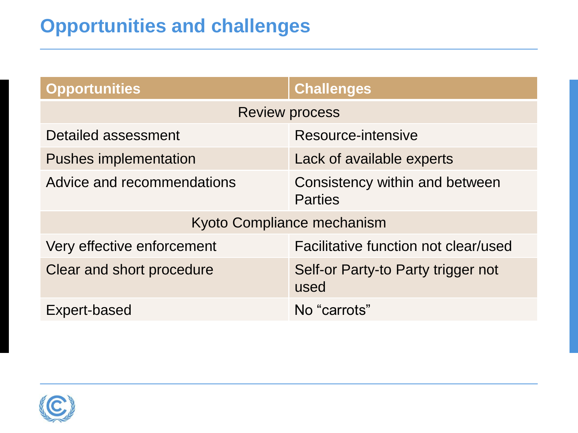#### **Opportunities and challenges**

| <b>Opportunities</b>         | <b>Challenges</b>                                |  |  |
|------------------------------|--------------------------------------------------|--|--|
| <b>Review process</b>        |                                                  |  |  |
| Detailed assessment          | Resource-intensive                               |  |  |
| <b>Pushes implementation</b> | Lack of available experts                        |  |  |
| Advice and recommendations   | Consistency within and between<br><b>Parties</b> |  |  |
| Kyoto Compliance mechanism   |                                                  |  |  |
| Very effective enforcement   | Facilitative function not clear/used             |  |  |
| Clear and short procedure    | Self-or Party-to Party trigger not<br>used       |  |  |
| Expert-based                 | No "carrots"                                     |  |  |